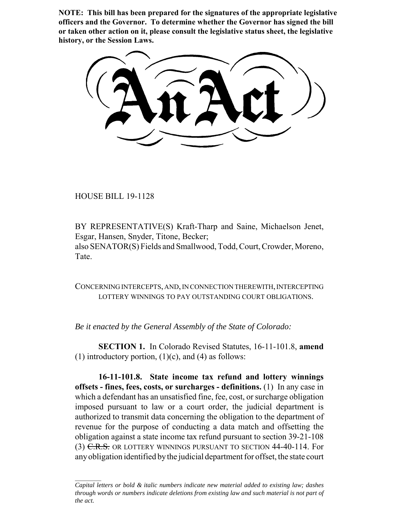**NOTE: This bill has been prepared for the signatures of the appropriate legislative officers and the Governor. To determine whether the Governor has signed the bill or taken other action on it, please consult the legislative status sheet, the legislative history, or the Session Laws.**

HOUSE BILL 19-1128

BY REPRESENTATIVE(S) Kraft-Tharp and Saine, Michaelson Jenet, Esgar, Hansen, Snyder, Titone, Becker; also SENATOR(S) Fields and Smallwood, Todd, Court, Crowder, Moreno, Tate.

CONCERNING INTERCEPTS, AND, IN CONNECTION THEREWITH, INTERCEPTING LOTTERY WINNINGS TO PAY OUTSTANDING COURT OBLIGATIONS.

*Be it enacted by the General Assembly of the State of Colorado:*

**SECTION 1.** In Colorado Revised Statutes, 16-11-101.8, **amend** (1) introductory portion,  $(1)(c)$ , and  $(4)$  as follows:

**16-11-101.8. State income tax refund and lottery winnings offsets - fines, fees, costs, or surcharges - definitions.** (1) In any case in which a defendant has an unsatisfied fine, fee, cost, or surcharge obligation imposed pursuant to law or a court order, the judicial department is authorized to transmit data concerning the obligation to the department of revenue for the purpose of conducting a data match and offsetting the obligation against a state income tax refund pursuant to section 39-21-108 (3) C.R.S. OR LOTTERY WINNINGS PURSUANT TO SECTION 44-40-114. For any obligation identified by the judicial department for offset, the state court

*Capital letters or bold & italic numbers indicate new material added to existing law; dashes through words or numbers indicate deletions from existing law and such material is not part of the act.*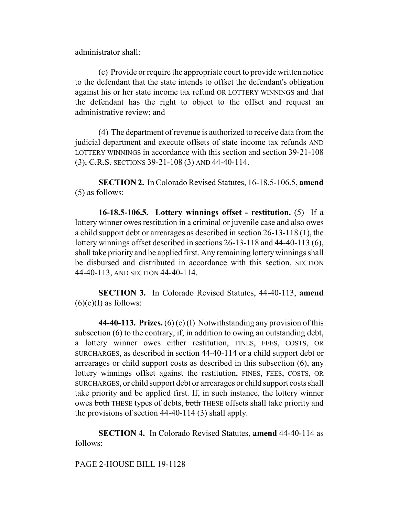administrator shall:

(c) Provide or require the appropriate court to provide written notice to the defendant that the state intends to offset the defendant's obligation against his or her state income tax refund OR LOTTERY WINNINGS and that the defendant has the right to object to the offset and request an administrative review; and

(4) The department of revenue is authorized to receive data from the judicial department and execute offsets of state income tax refunds AND LOTTERY WINNINGS in accordance with this section and section 39-21-108 (3), C.R.S. SECTIONS 39-21-108 (3) AND 44-40-114.

**SECTION 2.** In Colorado Revised Statutes, 16-18.5-106.5, **amend** (5) as follows:

**16-18.5-106.5. Lottery winnings offset - restitution.** (5) If a lottery winner owes restitution in a criminal or juvenile case and also owes a child support debt or arrearages as described in section 26-13-118 (1), the lottery winnings offset described in sections 26-13-118 and 44-40-113 (6), shall take priority and be applied first. Any remaining lottery winnings shall be disbursed and distributed in accordance with this section, SECTION 44-40-113, AND SECTION 44-40-114.

**SECTION 3.** In Colorado Revised Statutes, 44-40-113, **amend**  $(6)(e)$ (I) as follows:

**44-40-113. Prizes.** (6) (e) (I) Notwithstanding any provision of this subsection (6) to the contrary, if, in addition to owing an outstanding debt, a lottery winner owes either restitution, FINES, FEES, COSTS, OR SURCHARGES, as described in section 44-40-114 or a child support debt or arrearages or child support costs as described in this subsection (6), any lottery winnings offset against the restitution, FINES, FEES, COSTS, OR SURCHARGES, or child support debt or arrearages or child support costs shall take priority and be applied first. If, in such instance, the lottery winner owes both THESE types of debts, both THESE offsets shall take priority and the provisions of section 44-40-114 (3) shall apply.

**SECTION 4.** In Colorado Revised Statutes, **amend** 44-40-114 as follows:

PAGE 2-HOUSE BILL 19-1128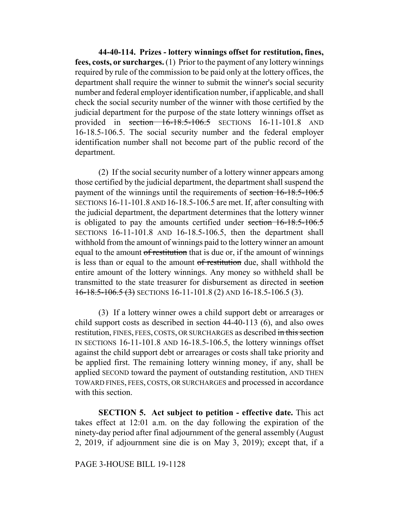**44-40-114. Prizes - lottery winnings offset for restitution, fines, fees, costs, or surcharges.** (1) Prior to the payment of any lottery winnings required by rule of the commission to be paid only at the lottery offices, the department shall require the winner to submit the winner's social security number and federal employer identification number, if applicable, and shall check the social security number of the winner with those certified by the judicial department for the purpose of the state lottery winnings offset as provided in section 16-18.5-106.5 SECTIONS 16-11-101.8 AND 16-18.5-106.5. The social security number and the federal employer identification number shall not become part of the public record of the department.

(2) If the social security number of a lottery winner appears among those certified by the judicial department, the department shall suspend the payment of the winnings until the requirements of section 16-18.5-106.5 SECTIONS 16-11-101.8 AND 16-18.5-106.5 are met. If, after consulting with the judicial department, the department determines that the lottery winner is obligated to pay the amounts certified under section 16-18.5-106.5 SECTIONS 16-11-101.8 AND 16-18.5-106.5, then the department shall withhold from the amount of winnings paid to the lottery winner an amount equal to the amount of restitution that is due or, if the amount of winnings is less than or equal to the amount of restitution due, shall withhold the entire amount of the lottery winnings. Any money so withheld shall be transmitted to the state treasurer for disbursement as directed in section  $16-18.5-106.5(3)$  SECTIONS 16-11-101.8 (2) AND 16-18.5-106.5 (3).

(3) If a lottery winner owes a child support debt or arrearages or child support costs as described in section 44-40-113 (6), and also owes restitution, FINES, FEES, COSTS, OR SURCHARGES as described in this section IN SECTIONS 16-11-101.8 AND 16-18.5-106.5, the lottery winnings offset against the child support debt or arrearages or costs shall take priority and be applied first. The remaining lottery winning money, if any, shall be applied SECOND toward the payment of outstanding restitution, AND THEN TOWARD FINES, FEES, COSTS, OR SURCHARGES and processed in accordance with this section.

**SECTION 5. Act subject to petition - effective date.** This act takes effect at 12:01 a.m. on the day following the expiration of the ninety-day period after final adjournment of the general assembly (August 2, 2019, if adjournment sine die is on May 3, 2019); except that, if a

## PAGE 3-HOUSE BILL 19-1128